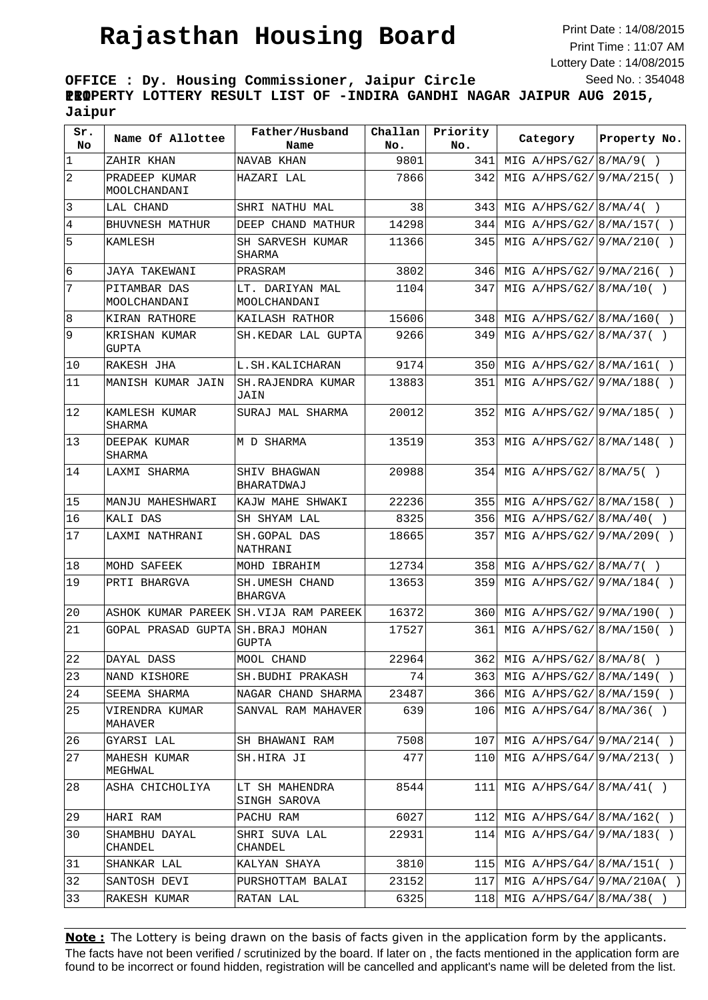## **Rajasthan Housing Board**

Print Date : 14/08/2015 Print Time : 11:07 AM Lottery Date : 14/08/2015 Seed No. : 354048

**OFFICE : Dy. Housing Commissioner, Jaipur Circle III PROPERTY LOTTERY RESULT LIST OF -INDIRA GANDHI NAGAR JAIPUR AUG 2015, Jaipur**

| Sr.<br>No.     | Name Of Allottee                      | Father/Husband<br>Name           | Challan<br>No. | Priority<br>No. | Category                    | Property No. |
|----------------|---------------------------------------|----------------------------------|----------------|-----------------|-----------------------------|--------------|
| $\mathbf 1$    | ZAHIR KHAN                            | NAVAB KHAN                       | 9801           | 341             | MIG $A/HPS/G2/8/MA/9()$     |              |
| 2              | PRADEEP KUMAR<br>MOOLCHANDANI         | HAZARI LAL                       | 7866           | 342             | MIG A/HPS/G2/ 9/MA/215()    |              |
| 3              | LAL CHAND                             | SHRI NATHU MAL                   | 38             | 343             | MIG $A/HPS/G2/ 8/MA/4( )$   |              |
| $\overline{4}$ | BHUVNESH MATHUR                       | DEEP CHAND MATHUR                | 14298          | 344             | MIG A/HPS/G2/ 8/MA/157()    |              |
| 5              | KAMLESH                               | SH SARVESH KUMAR<br>SHARMA       | 11366          | 345             | MIG $A/HPS/G2/9/MA/210( )$  |              |
| 6              | JAYA TAKEWANI                         | PRASRAM                          | 3802           | 346             | MIG $A/HPS/G2/9/MA/216( )$  |              |
| 7              | PITAMBAR DAS<br>MOOLCHANDANI          | LT. DARIYAN MAL<br>MOOLCHANDANI  | 1104           | 347             | MIG A/HPS/G2/ 8/MA/10(      |              |
| 8              | KIRAN RATHORE                         | KAILASH RATHOR                   | 15606          | 348             | MIG $A/HPS/G2/ 8/MA/160($   |              |
| 9              | KRISHAN KUMAR<br>GUPTA                | SH.KEDAR LAL GUPTA               | 9266           | 349             | MIG $A/HPS/G2/ 8/MA/37( )$  |              |
| 10             | RAKESH JHA                            | L.SH.KALICHARAN                  | 9174           | 350             | MIG A/HPS/G2/ 8/MA/161( )   |              |
| 11             | MANISH KUMAR JAIN                     | <b>SH.RAJENDRA KUMAR</b><br>JAIN | 13883          | 351             | MIG A/HPS/G2/9/MA/188()     |              |
| $ 12\rangle$   | KAMLESH KUMAR<br>SHARMA               | SURAJ MAL SHARMA                 | 20012          | 352             | MIG $A/HPS/G2/9/MA/185( )$  |              |
| 13             | DEEPAK KUMAR<br><b>SHARMA</b>         | M D SHARMA                       | 13519          | 353             | MIG A/HPS/G2/ 8/MA/148()    |              |
| 14             | LAXMI SHARMA                          | SHIV BHAGWAN<br>BHARATDWAJ       | 20988          | 354             | MIG $A/HPS/G2/ 8/MA/5( )$   |              |
| 15             | MANJU MAHESHWARI                      | KAJW MAHE SHWAKI                 | 22236          | 355             | MIG $A/HPS/G2/ 8/MA/158( )$ |              |
| 16             | KALI DAS                              | SH SHYAM LAL                     | 8325           | 356             | MIG $A/HPS/G2/ 8/MA/40($    |              |
| 17             | LAXMI NATHRANI                        | SH.GOPAL DAS<br>NATHRANI         | 18665          | 357             | MIG A/HPS/G2/ 9/MA/209()    |              |
| 18             | MOHD SAFEEK                           | MOHD IBRAHIM                     | 12734          | 358             | MIG $A/HPS/G2/ 8/MA/7( )$   |              |
| 19             | PRTI BHARGVA                          | SH.UMESH CHAND<br><b>BHARGVA</b> | 13653          | 359             | MIG A/HPS/G2/9/MA/184()     |              |
| 20             | ASHOK KUMAR PAREEK SH.VIJA RAM PAREEK |                                  | 16372          | 360             | MIG $A/HPS/G2/9/MA/190( )$  |              |
| 21             | GOPAL PRASAD GUPTA                    | SH.BRAJ MOHAN<br>GUPTA           | 17527          | 361             | MIG $A/HPS/G2/ 8/MA/150($   |              |
| 22             | DAYAL DASS                            | MOOL CHAND                       | 22964          | 3621            | MIG $A/HPS/G2/8/MA/8( )$    |              |
| 23             | NAND KISHORE                          | SH.BUDHI PRAKASH                 | 74             | 363             | MIG $A/HPS/G2/ 8/MA/149( )$ |              |
| 24             | SEEMA SHARMA                          | NAGAR CHAND SHARMA               | 23487          | 366             | MIG A/HPS/G2/ 8/MA/159()    |              |
| 25             | VIRENDRA KUMAR<br>MAHAVER             | SANVAL RAM MAHAVER               | 639            | 106             | MIG $A/HPS/G4/ 8/MA/36( )$  |              |
| 26             | GYARSI LAL                            | SH BHAWANI RAM                   | 7508           | 107             | MIG $A/HPS/G4/9/MA/214()$   |              |
| 27             | MAHESH KUMAR<br>MEGHWAL               | SH.HIRA JI                       | 477            | 110             | MIG $A/HPS/G4/9/MA/213( )$  |              |
| 28             | ASHA CHICHOLIYA                       | LT SH MAHENDRA<br>SINGH SAROVA   | 8544           | 111             | MIG $A/HPS/G4/ 8/MA/41( )$  |              |
| 29             | HARI RAM                              | PACHU RAM                        | 6027           | 112             | MIG $A/HPS/G4/ 8/MA/162( )$ |              |
| 30             | SHAMBHU DAYAL<br>CHANDEL              | SHRI SUVA LAL<br>CHANDEL         | 22931          | 114             | MIG $A/HPS/G4/9/MA/183()$   |              |
| 31             | SHANKAR LAL                           | KALYAN SHAYA                     | 3810           | 115             | MIG $A/HPS/G4/ 8/MA/151( )$ |              |
| 32             | SANTOSH DEVI                          | PURSHOTTAM BALAI                 | 23152          | 117             | MIG $A/HPS/G4/9/MA/210A( )$ |              |
| 33             | RAKESH KUMAR                          | RATAN LAL                        | 6325           | 118             | MIG $A/HPS/G4/ 8/MA/38($    |              |

The facts have not been verified / scrutinized by the board. If later on , the facts mentioned in the application form are found to be incorrect or found hidden, registration will be cancelled and applicant's name will be deleted from the list. **Note:** The Lottery is being drawn on the basis of facts given in the application form by the applicants.